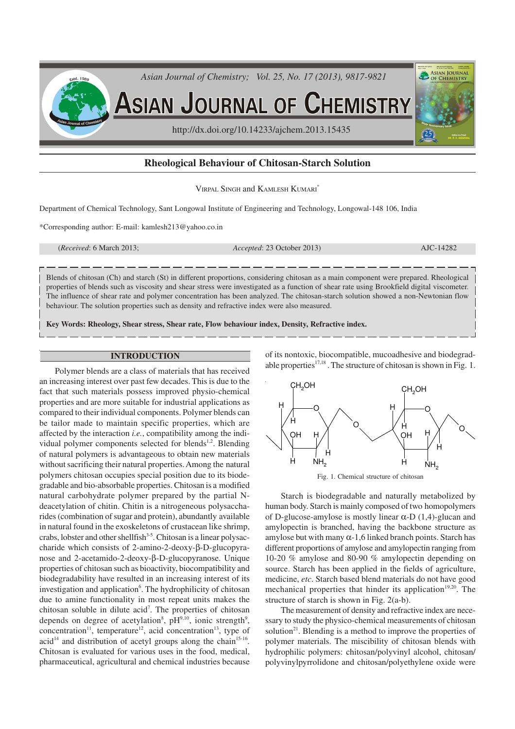

# **Rheological Behaviour of Chitosan-Starch Solution**

VIRPAL SINGH and KAMLESH KUMARI\*

Department of Chemical Technology, Sant Longowal Institute of Engineering and Technology, Longowal-148 106, India

\*Corresponding author: E-mail: kamlesh213@yahoo.co.in

(*Received*: 6 March 2013; *Accepted*: 23 October 2013) AJC-14282

Blends of chitosan (Ch) and starch (St) in different proportions, considering chitosan as a main component were prepared. Rheological properties of blends such as viscosity and shear stress were investigated as a function of shear rate using Brookfield digital viscometer. The influence of shear rate and polymer concentration has been analyzed. The chitosan-starch solution showed a non-Newtonian flow behaviour. The solution properties such as density and refractive index were also measured.

**Key Words: Rheology, Shear stress, Shear rate, Flow behaviour index, Density, Refractive index.**

## **INTRODUCTION**

Polymer blends are a class of materials that has received an increasing interest over past few decades. This is due to the fact that such materials possess improved physio-chemical properties and are more suitable for industrial applications as compared to their individual components. Polymer blends can be tailor made to maintain specific properties, which are affected by the interaction *i.e.*, compatibility among the individual polymer components selected for blends<sup>1,2</sup>. Blending of natural polymers is advantageous to obtain new materials without sacrificing their natural properties. Among the natural polymers chitosan occupies special position due to its biodegradable and bio-absorbable properties. Chitosan is a modified natural carbohydrate polymer prepared by the partial Ndeacetylation of chitin. Chitin is a nitrogeneous polysaccharides (combination of sugar and protein), abundantly available in natural found in the exoskeletons of crustacean like shrimp, crabs, lobster and other shellfish $3-5$ . Chitosan is a linear polysaccharide which consists of 2-amino-2-deoxy-β-D-glucopyranose and 2-acetamido-2-deoxy-β-D-glucopyranose. Unique properties of chitosan such as bioactivity, biocompatibility and biodegradability have resulted in an increasing interest of its investigation and application<sup>6</sup>. The hydrophilicity of chitosan due to amine functionality in most repeat units makes the chitosan soluble in dilute acid<sup>7</sup>. The properties of chitosan depends on degree of acetylation<sup>8</sup>,  $pH<sup>9,10</sup>$ , ionic strength<sup>9</sup>,  $concentration<sup>11</sup>$ , temperature<sup>12</sup>, acid concentration<sup>13</sup>, type of acid<sup>14</sup> and distribution of acetyl groups along the chain<sup>15-16</sup>. Chitosan is evaluated for various uses in the food, medical, pharmaceutical, agricultural and chemical industries because of its nontoxic, biocompatible, mucoadhesive and biodegradable properties $17,18$ . The structure of chitosan is shown in Fig. 1.



Fig. 1. Chemical structure of chitosan

Starch is biodegradable and naturally metabolized by human body. Starch is mainly composed of two homopolymers of D-glucose-amylose is mostly linear  $\alpha$ -D (1,4)-glucan and amylopectin is branched, having the backbone structure as amylose but with many  $\alpha$ -1.6 linked branch points. Starch has different proportions of amylose and amylopectin ranging from 10-20 % amylose and 80-90 % amylopectin depending on source. Starch has been applied in the fields of agriculture, medicine, *etc*. Starch based blend materials do not have good mechanical properties that hinder its application<sup>19,20</sup>. The structure of starch is shown in Fig. 2(a-b).

The measurement of density and refractive index are necessary to study the physico-chemical measurements of chitosan solution $2<sup>1</sup>$ . Blending is a method to improve the properties of polymer materials. The miscibility of chitosan blends with hydrophilic polymers: chitosan/polyvinyl alcohol, chitosan/ polyvinylpyrrolidone and chitosan/polyethylene oxide were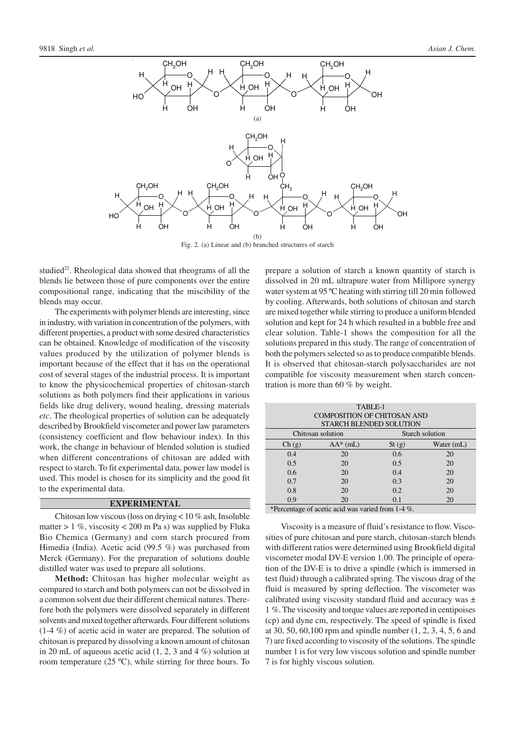

Fig. 2. (a) Linear and (b) branched structures of starch

studied $^{22}$ . Rheological data showed that rheograms of all the blends lie between those of pure components over the entire compositional range, indicating that the miscibility of the blends may occur.

The experiments with polymer blends are interesting, since in industry, with variation in concentration of the polymers, with different properties, a product with some desired characteristics can be obtained. Knowledge of modification of the viscosity values produced by the utilization of polymer blends is important because of the effect that it has on the operational cost of several stages of the industrial process. It is important to know the physicochemical properties of chitosan-starch solutions as both polymers find their applications in various fields like drug delivery, wound healing, dressing materials *etc*. The rheological properties of solution can be adequately described by Brookfield viscometer and power law parameters (consistency coefficient and flow behaviour index). In this work, the change in behaviour of blended solution is studied when different concentrations of chitosan are added with respect to starch. To fit experimental data, power law model is used. This model is chosen for its simplicity and the good fit to the experimental data.

## **EXPERIMENTAL**

Chitosan low viscous (loss on drying < 10 % ash, Insoluble matter  $> 1\%$ , viscosity  $< 200$  m Pa s) was supplied by Fluka Bio Chemica (Germany) and corn starch procured from Himedia (India). Acetic acid (99.5 %) was purchased from Merck (Germany). For the preparation of solutions double distilled water was used to prepare all solutions.

**Method:** Chitosan has higher molecular weight as compared to starch and both polymers can not be dissolved in a common solvent due their different chemical natures. Therefore both the polymers were dissolved separately in different solvents and mixed together afterwards. Four different solutions (1-4 %) of acetic acid in water are prepared. The solution of chitosan is prepared by dissolving a known amount of chitosan in 20 mL of aqueous acetic acid  $(1, 2, 3 \text{ and } 4 \%)$  solution at room temperature (25 ºC), while stirring for three hours. To

prepare a solution of starch a known quantity of starch is dissolved in 20 mL ultrapure water from Millipore synergy water system at 95 ºC heating with stirring till 20 min followed by cooling. Afterwards, both solutions of chitosan and starch are mixed together while stirring to produce a uniform blended solution and kept for 24 h which resulted in a bubble free and clear solution. Table-1 shows the composition for all the solutions prepared in this study. The range of concentration of both the polymers selected so as to produce compatible blends. It is observed that chitosan-starch polysaccharides are not compatible for viscosity measurement when starch concentration is more than 60 % by weight.

| TABLE-1                            |                   |                 |            |  |  |  |
|------------------------------------|-------------------|-----------------|------------|--|--|--|
| <b>COMPOSITION OF CHITOSAN AND</b> |                   |                 |            |  |  |  |
| <b>STARCH BLENDED SOLUTION</b>     |                   |                 |            |  |  |  |
|                                    | Chitosan solution | Starch solution |            |  |  |  |
| Ch(g)                              | $AA^*(mL)$        | St(g)           | Water (mL) |  |  |  |
| 0.4                                | 20                | 0.6             | 20         |  |  |  |
| 0.5                                | 20                | 0.5             | 20         |  |  |  |
| 0.6                                | 20                | 0.4             | 20         |  |  |  |
| 0.7                                | 20                | 0.3             | 20         |  |  |  |
| 0.8                                | 20                | 0.2             | 20         |  |  |  |
| 0.9                                | 20                | 0.1             | 20         |  |  |  |

\*Percentage of acetic acid was varied from 1-4 %.

Viscosity is a measure of fluid's resistance to flow. Viscosities of pure chitosan and pure starch, chitosan-starch blends with different ratios were determined using Brookfield digital viscometer modal DV-E version 1.00. The principle of operation of the DV-E is to drive a spindle (which is immersed in test fluid) through a calibrated spring. The viscous drag of the fluid is measured by spring deflection. The viscometer was calibrated using viscosity standard fluid and accuracy was ± 1 %. The viscosity and torque values are reported in centipoises (cp) and dyne cm, respectively. The speed of spindle is fixed at 30, 50, 60,100 rpm and spindle number (1, 2, 3, 4, 5, 6 and 7) are fixed according to viscosity of the solutions. The spindle number 1 is for very low viscous solution and spindle number 7 is for highly viscous solution.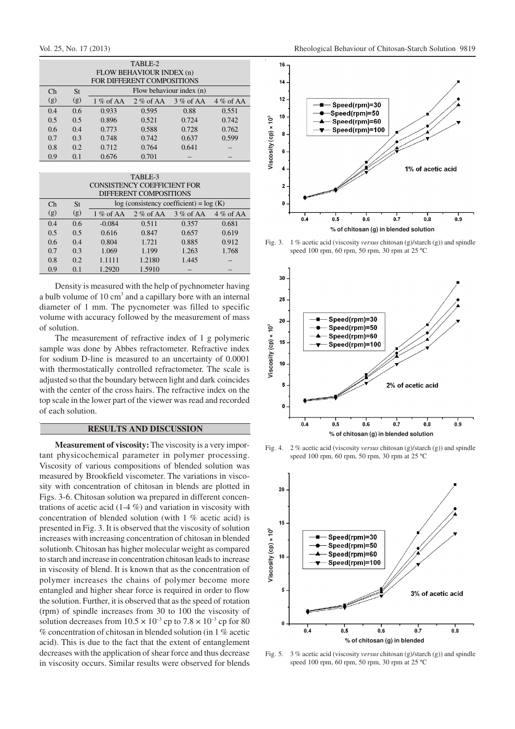| TABLE-2                    |     |                          |             |             |             |  |  |  |
|----------------------------|-----|--------------------------|-------------|-------------|-------------|--|--|--|
| FLOW BEHAVIOUR INDEX (n)   |     |                          |             |             |             |  |  |  |
| FOR DIFFERENT COMPOSITIONS |     |                          |             |             |             |  |  |  |
| Ch                         | St  | Flow behaviour index (n) |             |             |             |  |  |  |
| (g)                        | (g) | $1\%$ of AA              | $2\%$ of AA | $3\%$ of AA | $4\%$ of AA |  |  |  |
| 0.4                        | 0.6 | 0.933                    | 0.595       | 0.88        | 0.551       |  |  |  |
| 0.5                        | 0.5 | 0.896                    | 0.521       | 0.724       | 0.742       |  |  |  |
| 0.6                        | 0.4 | 0.773                    | 0.588       | 0.728       | 0.762       |  |  |  |
| 0.7                        | 0.3 | 0.748                    | 0.742       | 0.637       | 0.599       |  |  |  |
| 0.8                        | 0.2 | 0.712                    | 0.764       | 0.641       |             |  |  |  |
| 0.9                        | 0.1 | 0.676                    | 0.701       |             |             |  |  |  |

| TABLE-3<br><b>CONSISTENCY COEFFICIENT FOR</b> |                                                                            |             |                         |       |             |  |  |  |
|-----------------------------------------------|----------------------------------------------------------------------------|-------------|-------------------------|-------|-------------|--|--|--|
| $\mathsf{Ch}$                                 | DIFFERENT COMPOSITIONS<br>$log$ (consistency coefficient) = $log(K)$<br>St |             |                         |       |             |  |  |  |
| (g)                                           | (g)                                                                        | $1\%$ of AA | $2\%$ of AA $3\%$ of AA |       | $4\%$ of AA |  |  |  |
| 0.4                                           | 0.6                                                                        | $-0.084$    | 0.511                   | 0.357 | 0.681       |  |  |  |
| 0.5                                           | 0.5                                                                        | 0.616       | 0.847                   | 0.657 | 0.619       |  |  |  |
| $0.6^{\circ}$                                 | 0.4                                                                        | 0.804       | 1.721                   | 0.885 | 0.912       |  |  |  |
| 0.7                                           | 0.3                                                                        | 1.069       | 1.199                   | 1.263 | 1.768       |  |  |  |
| 0.8                                           | 0.2                                                                        | 1.1111      | 1.2180                  | 1.445 |             |  |  |  |
| 0.9                                           | 0.1                                                                        | 1.2920      | 1.5910                  |       |             |  |  |  |

Density is measured with the help of pychnometer having a bulb volume of 10 cm<sup>3</sup> and a capillary bore with an internal diameter of 1 mm. The pycnometer was filled to specific volume with accuracy followed by the measurement of mass of solution.

The measurement of refractive index of 1 g polymeric sample was done by Abbes refractometer. Refractive index for sodium D-line is measured to an uncertainty of 0.0001 with thermostatically controlled refractometer. The scale is adjusted so that the boundary between light and dark coincides with the center of the cross hairs. The refractive index on the top scale in the lower part of the viewer was read and recorded of each solution.

# **RESULTS AND DISCUSSION**

**Measurement of viscosity:** The viscosity is a very important physicochemical parameter in polymer processing. Viscosity of various compositions of blended solution was measured by Brookfield viscometer. The variations in viscosity with concentration of chitosan in blends are plotted in Figs. 3-6. Chitosan solution wa prepared in different concentrations of acetic acid (1-4 %) and variation in viscosity with concentration of blended solution (with 1 % acetic acid) is presented in Fig. 3. It is observed that the viscosity of solution increases with increasing concentration of chitosan in blended solutionb. Chitosan has higher molecular weight as compared to starch and increase in concentration chitosan leads to increase in viscosity of blend. It is known that as the concentration of polymer increases the chains of polymer become more entangled and higher shear force is required in order to flow the solution. Further, it is observed that as the speed of rotation (rpm) of spindle increases from 30 to 100 the viscosity of solution decreases from  $10.5 \times 10^{-3}$  cp to  $7.8 \times 10^{-3}$  cp for 80 % concentration of chitosan in blended solution (in 1 % acetic acid). This is due to the fact that the extent of entanglement decreases with the application of shear force and thus decrease in viscosity occurs. Similar results were observed for blends



Fig. 3. 1 % acetic acid (viscosity *versus* chitosan (g)/starch (g)) and spindle speed 100 rpm, 60 rpm, 50 rpm, 30 rpm at 25 ºC



Fig. 4. 2 % acetic acid (viscosity *versus* chitosan (g)/starch (g)) and spindle speed 100 rpm, 60 rpm, 50 rpm, 30 rpm at 25 ºC



Fig. 5. 3 % acetic acid (viscosity *versus* chitosan (g)/starch (g)) and spindle speed 100 rpm, 60 rpm, 50 rpm, 30 rpm at 25 ºC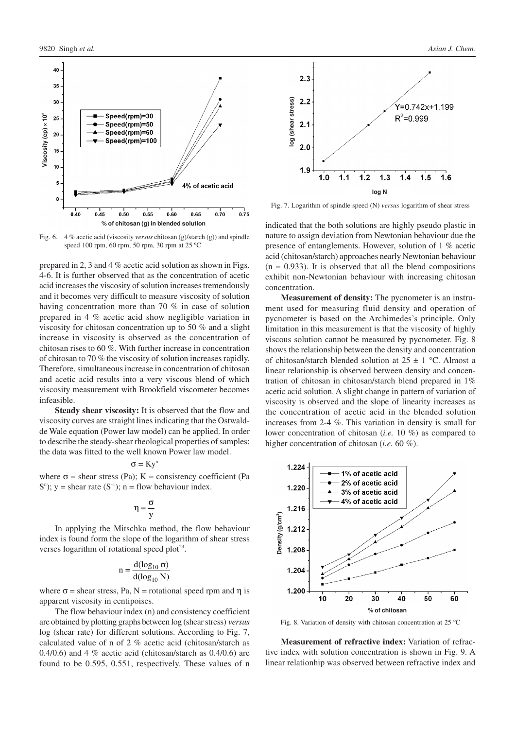

Fig. 6. 4 % acetic acid (viscosity *versus* chitosan (g)/starch (g)) and spindle speed 100 rpm, 60 rpm, 50 rpm, 30 rpm at 25 ºC

prepared in 2, 3 and 4 % acetic acid solution as shown in Figs. 4-6. It is further observed that as the concentration of acetic acid increases the viscosity of solution increases tremendously and it becomes very difficult to measure viscosity of solution having concentration more than 70 % in case of solution prepared in 4 % acetic acid show negligible variation in viscosity for chitosan concentration up to 50 % and a slight increase in viscosity is observed as the concentration of chitosan rises to 60 %. With further increase in concentration of chitosan to 70 % the viscosity of solution increases rapidly. Therefore, simultaneous increase in concentration of chitosan and acetic acid results into a very viscous blend of which viscosity measurement with Brookfield viscometer becomes infeasible.

**Steady shear viscosity:** It is observed that the flow and viscosity curves are straight lines indicating that the Ostwaldde Wale equation (Power law model) can be applied. In order to describe the steady-shear rheological properties of samples; the data was fitted to the well known Power law model.

## $\sigma = Ky^n$

where  $\sigma$  = shear stress (Pa); K = consistency coefficient (Pa  $S<sup>n</sup>$ ); y = shear rate (S<sup>-1</sup>); n = flow behaviour index.

$$
\eta=\frac{\sigma}{y}
$$

In applying the Mitschka method, the flow behaviour index is found form the slope of the logarithm of shear stress verses logarithm of rotational speed plot<sup>23</sup>.

$$
n = \frac{d(\log_{10} \sigma)}{d(\log_{10} N)}
$$

where  $\sigma$  = shear stress, Pa, N = rotational speed rpm and  $\eta$  is apparent viscosity in centipoises.

The flow behaviour index (n) and consistency coefficient are obtained by plotting graphs between log (shear stress) *versus* log (shear rate) for different solutions. According to Fig. 7, calculated value of n of 2 % acetic acid (chitosan/starch as 0.4/0.6) and 4 % acetic acid (chitosan/starch as  $0.4/0.6$ ) are found to be 0.595, 0.551, respectively. These values of n



Fig. 7. Logarithm of spindle speed (N) *versus* logarithm of shear stress

indicated that the both solutions are highly pseudo plastic in nature to assign deviation from Newtonian behaviour due the presence of entanglements. However, solution of 1 % acetic acid (chitosan/starch) approaches nearly Newtonian behaviour  $(n = 0.933)$ . It is observed that all the blend compositions exhibit non-Newtonian behaviour with increasing chitosan concentration.

**Measurement of density:** The pycnometer is an instrument used for measuring fluid density and operation of pycnometer is based on the Archimedes's principle. Only limitation in this measurement is that the viscosity of highly viscous solution cannot be measured by pycnometer. Fig. 8 shows the relationship between the density and concentration of chitosan/starch blended solution at  $25 \pm 1$  °C. Almost a linear relationship is observed between density and concentration of chitosan in chitosan/starch blend prepared in 1% acetic acid solution. A slight change in pattern of variation of viscosity is observed and the slope of linearity increases as the concentration of acetic acid in the blended solution increases from 2-4 %. This variation in density is small for lower concentration of chitosan (*i.e.* 10 %) as compared to higher concentration of chitosan (*i.e.* 60 %).



Fig. 8. Variation of density with chitosan concentration at 25 ºC

**Measurement of refractive index:** Variation of refractive index with solution concentration is shown in Fig. 9. A linear relationhip was observed between refractive index and